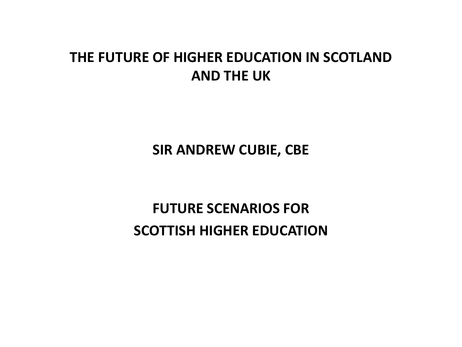#### **THE FUTURE OF HIGHER EDUCATION IN SCOTLAND AND THE UK**

**SIR ANDREW CUBIE, CBE**

**FUTURE SCENARIOS FOR SCOTTISH HIGHER EDUCATION**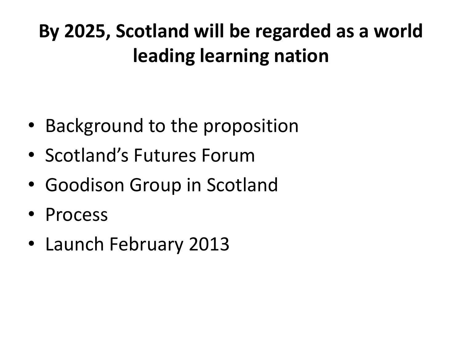# **By 2025, Scotland will be regarded as a world leading learning nation**

- Background to the proposition
- Scotland's Futures Forum
- Goodison Group in Scotland
- Process
- Launch February 2013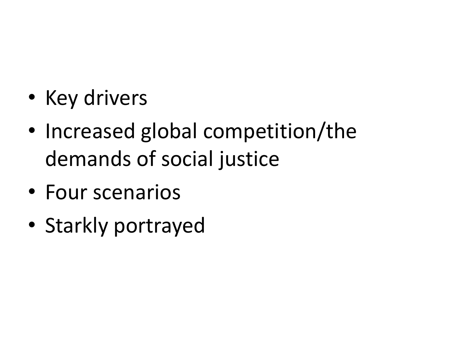- Key drivers
- Increased global competition/the demands of social justice
- Four scenarios
- Starkly portrayed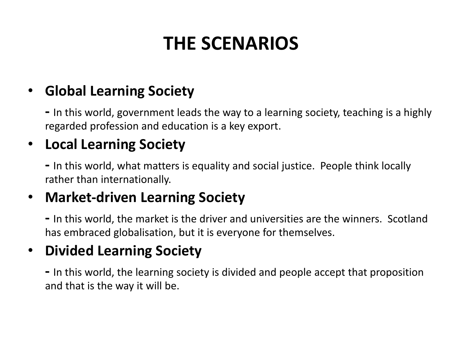## **THE SCENARIOS**

#### • **Global Learning Society**

**-** In this world, government leads the way to a learning society, teaching is a highly regarded profession and education is a key export.

#### • **Local Learning Society**

**-** In this world, what matters is equality and social justice. People think locally rather than internationally.

#### • **Market-driven Learning Society**

**-** In this world, the market is the driver and universities are the winners. Scotland has embraced globalisation, but it is everyone for themselves.

#### • **Divided Learning Society**

**-** In this world, the learning society is divided and people accept that proposition and that is the way it will be.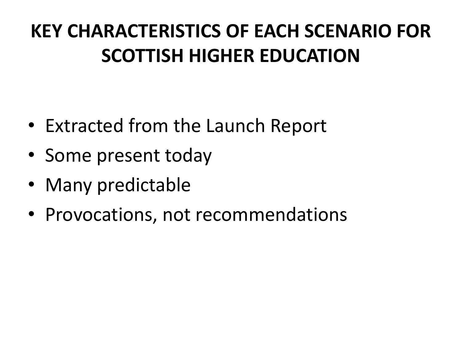# **KEY CHARACTERISTICS OF EACH SCENARIO FOR SCOTTISH HIGHER EDUCATION**

- Extracted from the Launch Report
- Some present today
- Many predictable
- Provocations, not recommendations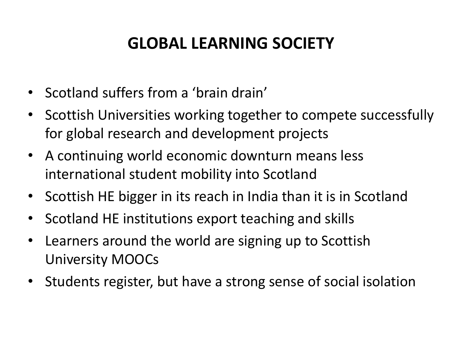### **GLOBAL LEARNING SOCIETY**

- Scotland suffers from a 'brain drain'
- Scottish Universities working together to compete successfully for global research and development projects
- A continuing world economic downturn means less international student mobility into Scotland
- Scottish HE bigger in its reach in India than it is in Scotland
- Scotland HE institutions export teaching and skills
- Learners around the world are signing up to Scottish University MOOCs
- Students register, but have a strong sense of social isolation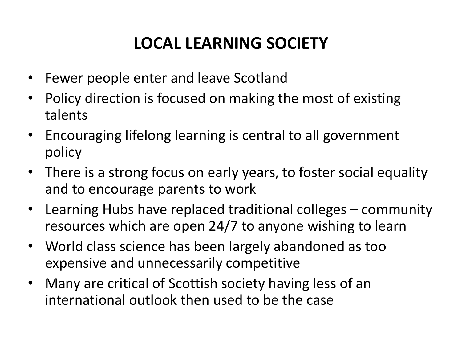### **LOCAL LEARNING SOCIETY**

- Fewer people enter and leave Scotland
- Policy direction is focused on making the most of existing talents
- Encouraging lifelong learning is central to all government policy
- There is a strong focus on early years, to foster social equality and to encourage parents to work
- Learning Hubs have replaced traditional colleges community resources which are open 24/7 to anyone wishing to learn
- World class science has been largely abandoned as too expensive and unnecessarily competitive
- Many are critical of Scottish society having less of an international outlook then used to be the case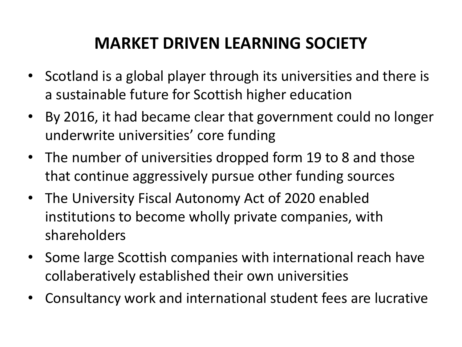#### **MARKET DRIVEN LEARNING SOCIETY**

- Scotland is a global player through its universities and there is a sustainable future for Scottish higher education
- By 2016, it had became clear that government could no longer underwrite universities' core funding
- The number of universities dropped form 19 to 8 and those that continue aggressively pursue other funding sources
- The University Fiscal Autonomy Act of 2020 enabled institutions to become wholly private companies, with shareholders
- Some large Scottish companies with international reach have collaberatively established their own universities
- Consultancy work and international student fees are lucrative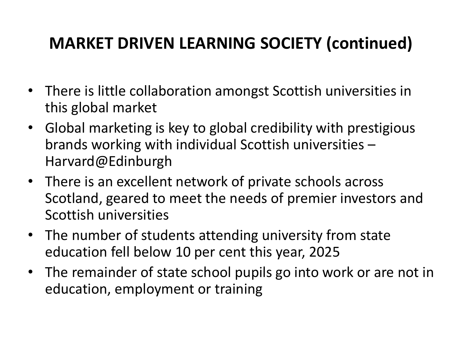### **MARKET DRIVEN LEARNING SOCIETY (continued)**

- There is little collaboration amongst Scottish universities in this global market
- Global marketing is key to global credibility with prestigious brands working with individual Scottish universities – Harvard@Edinburgh
- There is an excellent network of private schools across Scotland, geared to meet the needs of premier investors and Scottish universities
- The number of students attending university from state education fell below 10 per cent this year, 2025
- The remainder of state school pupils go into work or are not in education, employment or training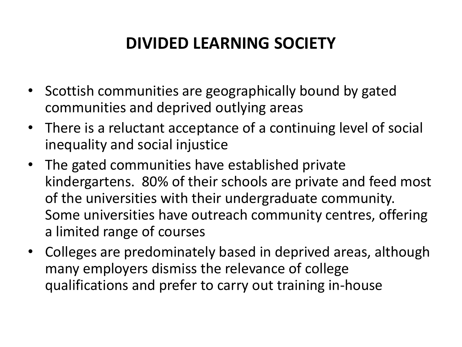### **DIVIDED LEARNING SOCIETY**

- Scottish communities are geographically bound by gated communities and deprived outlying areas
- There is a reluctant acceptance of a continuing level of social inequality and social injustice
- The gated communities have established private kindergartens. 80% of their schools are private and feed most of the universities with their undergraduate community. Some universities have outreach community centres, offering a limited range of courses
- Colleges are predominately based in deprived areas, although many employers dismiss the relevance of college qualifications and prefer to carry out training in-house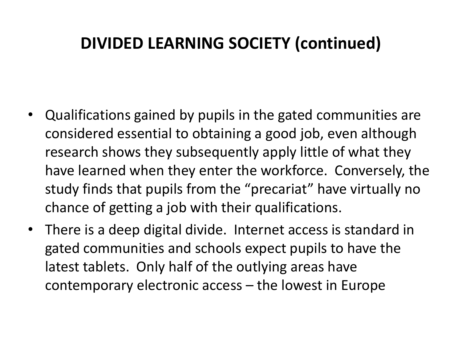### **DIVIDED LEARNING SOCIETY (continued)**

- Qualifications gained by pupils in the gated communities are considered essential to obtaining a good job, even although research shows they subsequently apply little of what they have learned when they enter the workforce. Conversely, the study finds that pupils from the "precariat" have virtually no chance of getting a job with their qualifications.
- There is a deep digital divide. Internet access is standard in gated communities and schools expect pupils to have the latest tablets. Only half of the outlying areas have contemporary electronic access – the lowest in Europe